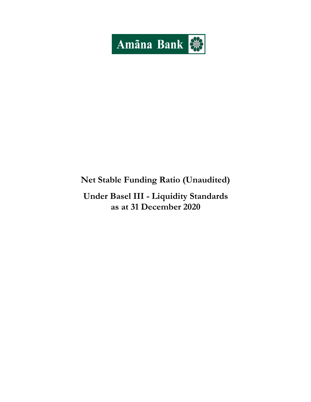

## **Net Stable Funding Ratio (Unaudited)**

# **Under Basel III - Liquidity Standards as at 31 December 2020**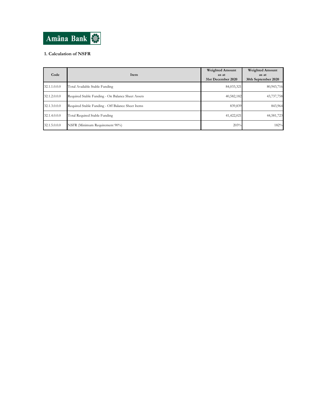

### **1. Calculation of NSFR**

| Code         | Item                                              | <b>Weighted Amount</b><br>as at<br>31st December 2020 | <b>Weighted Amount</b><br>as at<br>30th September 2020 |
|--------------|---------------------------------------------------|-------------------------------------------------------|--------------------------------------------------------|
| 32.1.1.0.0.0 | Total Available Stable Funding                    | 84,033,321                                            | 80,943,716                                             |
| 32.1.2.0.0.0 | Required Stable Funding - On Balance Sheet Assets | 40,582,182                                            | 43,737,758                                             |
| 32.1.3.0.0.0 | Required Stable Funding - Off Balance Sheet Items | 839,839                                               | 843,964                                                |
| 32.1.4.0.0.0 | Total Required Stable Funding                     | 41,422,021                                            | 44,581,723                                             |
| 32.1.5.0.0.0 | NSFR (Minimum Requirement 90%)                    | 203%                                                  | 182%                                                   |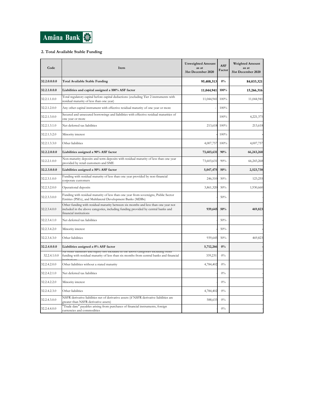

#### **2. Total Available Stable Funding**

| Code         | Item                                                                                                                                                                                              | <b>Unweighted Amount</b><br>as at<br>31st December 2020 | <b>ASF</b><br>Factor | <b>Weighted Amount</b><br>as at<br>31st December 2020 |
|--------------|---------------------------------------------------------------------------------------------------------------------------------------------------------------------------------------------------|---------------------------------------------------------|----------------------|-------------------------------------------------------|
| 32.2.0.0.0.0 | <b>Total Available Stable Funding</b>                                                                                                                                                             | 95,408,313                                              | 0%                   | 84,033,321                                            |
| 32.2.1.0.0.0 | Liabilities and capital assigned a 100% ASF factor                                                                                                                                                | 11,044,941                                              | 100%                 | 15,266,316                                            |
| 32.2.1.1.0.0 | Total regulatory capital before capital deductions (excluding Tier 2 instruments with<br>residual maturity of less than one year)                                                                 | 11,044,941                                              | 100%                 | 11,044,941                                            |
| 32.2.1.2.0.0 | Any other capital instrument with effective residual maturity of one year or more                                                                                                                 |                                                         | 100%                 |                                                       |
| 32.2.1.3.0.0 | Secured and unsecured borrowings and liabilities with effective residual maturities of<br>one year or more                                                                                        |                                                         | 100%                 | 4,221,375                                             |
| 32.2.1.3.1.0 | Net deferred tax liabilities                                                                                                                                                                      | 213,618                                                 | 100%                 | 213,618                                               |
| 32.2.1.3.2.0 | Minority interest                                                                                                                                                                                 |                                                         | 100%                 |                                                       |
| 32.2.1.3.3.0 | Other liabilities                                                                                                                                                                                 | 4,007,757                                               | 100%                 | 4,007,757                                             |
| 32.2.2.0.0.0 | Liabilities assigned a 90% ASF factor                                                                                                                                                             | 73,603,631                                              | 90%                  | 66,243,268                                            |
| 32.2.2.1.0.0 | Non-maturity deposits and term deposits with residual maturity of less than one year<br>provided by retail customers and SME                                                                      | 73,603,631                                              | 90%                  | 66,243,268                                            |
| 32.2.3.0.0.0 | Liabilities assigned a 50% ASF factor                                                                                                                                                             | 5,047,475                                               | 50%                  | 2,523,738                                             |
| 32.2.3.1.0.0 | Funding with residual maturity of less than one year provided by non-financial<br>corporate customers                                                                                             | 246,510                                                 | 50%                  | 123,255                                               |
| 32.2.3.2.0.0 | Operational deposits                                                                                                                                                                              | 3,861,320                                               | 50%                  | 1,930,660                                             |
| 32.2.3.3.0.0 | Funding with residual maturity of less than one year from sovereigns, Public Sector<br>Entities (PSEs), and Multilateral Development Banks (MDBs)                                                 |                                                         | 50%                  |                                                       |
| 32.2.3.4.0.0 | Other funding with residual maturity between six months and less than one year not<br>included in the above categories, including funding provided by central banks and<br>financial institutions | 939,645                                                 | 50%                  | 469,823                                               |
| 32.2.3.4.1.0 | Net deferred tax liabilities                                                                                                                                                                      |                                                         | 50%                  |                                                       |
| 32.2.3.4.2.0 | Minority interest                                                                                                                                                                                 |                                                         | 50%                  |                                                       |
| 32.2.3.4.3.0 | Other liabilities                                                                                                                                                                                 | 939,645                                                 | 50%                  | 469,823                                               |
| 32.2.4.0.0.0 | Liabilities assigned a 0% ASF factor                                                                                                                                                              | 5,712,266                                               | $0\%$                |                                                       |
| 32.2.4.1.0.0 | An other nationales and equity not included in the above categories including other<br>funding with residual maturity of less than six months from central banks and financial                    | 339,231                                                 | $0\%$                |                                                       |
| 32.2.4.2.0.0 | Other liabilities without a stated maturity                                                                                                                                                       | 4,784,402                                               | $0\%$                |                                                       |
| 32.2.4.2.1.0 | Net deferred tax liabilities                                                                                                                                                                      |                                                         | $0\%$                |                                                       |
| 32.2.4.2.2.0 | Minority interest                                                                                                                                                                                 |                                                         | $0\%$                |                                                       |
| 32.2.4.2.3.0 | Other liabilities                                                                                                                                                                                 | 4,784,402                                               | $0\%$                |                                                       |
| 32.2.4.3.0.0 | NSFR derivative liabilities net of derivative assets (if NSFR derivative liabilities are<br>greater than NSFR derivative assets)                                                                  | 588,633                                                 | $0\%$                |                                                       |
| 32.2.4.4.0.0 | "Trade date" payables arising from purchases of financial instruments, foreign<br>currencies and commodities                                                                                      |                                                         | $0\%$                |                                                       |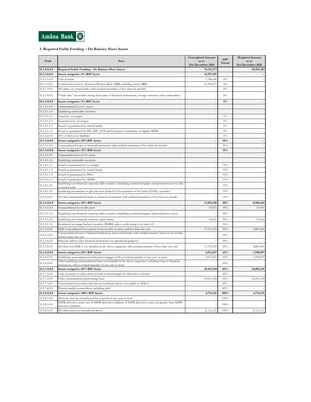

### **3. Required Stable Funding – On Balance Sheet Assets**

| Code                         | Item                                                                                                                                                                           | <b>Unweighted Amount</b><br>as at<br>31st December 2020 | <b>ASF</b><br>Factor | <b>Weighted Amount</b><br>as at<br>31st December 2020 |
|------------------------------|--------------------------------------------------------------------------------------------------------------------------------------------------------------------------------|---------------------------------------------------------|----------------------|-------------------------------------------------------|
| 32.3.0.0.0.0                 | Required Stable Funding - On Balance Sheet Assets                                                                                                                              | 70,155,273                                              |                      | 40,582,182                                            |
| 32.3.1.0.0.0                 | Assets assigned a 0% RSF factor                                                                                                                                                | 15,197,107                                              |                      |                                                       |
| 32.3.1.1.0.0                 | Cash in hand                                                                                                                                                                   | 3,786,636                                               | $0\%$                |                                                       |
| 32.3.1.2.0.0                 | Central bank reserves (Statutory Reserve Ratio (SRR) including excess SRR)                                                                                                     | 11,410,471                                              | $0\%$                |                                                       |
| 32.3.1.3.0.0                 | All claims on central banks with residual maturities of less than six months                                                                                                   |                                                         | $0\%$                |                                                       |
| 32.3.1.4.0.0                 | Trade date" receivables arising from sales of financial instruments, foreign currencies and commodities                                                                        |                                                         | $0\%$                |                                                       |
| 32.3.2.0.0.0                 | Assets assigned a 5% RSF factor                                                                                                                                                |                                                         | 5%                   |                                                       |
| 32.3.2.1.0.0                 | Unencumbered Level 1 assets                                                                                                                                                    |                                                         |                      |                                                       |
| 32.3.2.1.1.0                 | Qualifying marketable securities                                                                                                                                               |                                                         |                      |                                                       |
| 32.3.2.1.1.1                 | Issued by sovereigns                                                                                                                                                           |                                                         | $5\%$                |                                                       |
| 32.3.2.1.1.2                 | Guaranteed by sovereigns                                                                                                                                                       |                                                         | $5\%$                |                                                       |
| 32.3.2.1.1.3                 | Issued or guaranteed by central banks                                                                                                                                          |                                                         | $5\%$                |                                                       |
| 32.3.2.1.1.4                 | Issued or guaranteed by BIS, IMF, ECB and European Community or eligible MDBs                                                                                                  |                                                         | $5\%$                |                                                       |
| 32.3.2.2.0.0                 | 20% of derivative liabilities                                                                                                                                                  |                                                         | $5\%$                |                                                       |
| 32.3.3.0.0.0                 | Assets assigned a 10% RSF factor                                                                                                                                               |                                                         | 10%                  |                                                       |
| 32.3.3.1.0.0                 | Jnencumbered loans to financial institutions with residual maturities of less than six months                                                                                  |                                                         | 10%                  |                                                       |
| 32.3.4.0.0.0                 | Assets assigned a 15% RSF factor                                                                                                                                               |                                                         | 15%                  |                                                       |
| 32.3.4.1.0.0                 | Unencumbered Level 2A assets                                                                                                                                                   |                                                         |                      |                                                       |
| 32.3.4.1.1.0                 | Qualifying marketable securities                                                                                                                                               |                                                         |                      |                                                       |
| 32.3.4.1.1.1                 | Issued or guaranteed by sovereigns                                                                                                                                             |                                                         | 15%                  |                                                       |
| 32.3.4.1.1.2                 | Issued or guaranteed by central banks                                                                                                                                          |                                                         | 15%                  |                                                       |
| 32.3.4.1.1.3                 | Issued or guaranteed by PSEs                                                                                                                                                   |                                                         | $15\%$               |                                                       |
| 32.3.4.1.1.4                 | Issued or guaranteed by MDBs                                                                                                                                                   |                                                         | 15%                  |                                                       |
| 32.3.4.1.2.0                 | Qualifying non-financial corporate debt securities (including commercial paper and promissory notes) and<br>covered bonds                                                      |                                                         | 15%                  |                                                       |
| 32.3.4.1.3.0                 | Qualifying investments in gilt unit trust backed by Government of Sri Lanka (GOSL) securities                                                                                  |                                                         | 15%                  |                                                       |
| 32.3.4.2.0.0                 | All other unencumbered loans to financial institutions with residual maturities of less than six months                                                                        |                                                         | 15%                  |                                                       |
| 32.3.5.0.0.0                 | Assets assigned a 50% RSF factor                                                                                                                                               | 17,819,250                                              | 50%                  | 8,909,625                                             |
| 32.3.5.1.0.0                 | Unencumbered Level 2B assets                                                                                                                                                   | 55,921                                                  | 50%                  | 27,961                                                |
| 32.3.5.1.1.0                 | Qualifying non-financial corporate debt securities (including commercial paper and promissory notes)                                                                           |                                                         | 50%                  |                                                       |
| 32.3.5.1.2.0                 | Qualifying non-financial common equity shares                                                                                                                                  | 55,921                                                  | 50%                  | 27,961                                                |
| 32.3.5.1.3.0                 | Residential mortgage backed securities (RMBS) with a credit rating of at least AA                                                                                              |                                                         | 50%                  |                                                       |
| 32.3.5.2.0.0                 | HQLA encumbered for a period of six months or more and less than one year                                                                                                      | 17,763,329                                              | 50%                  | 8,881,665                                             |
| 32.3.5.3.0.0                 | Unencumbered loans to financial institutions and central banks with residual maturity between six months                                                                       |                                                         | 50%                  |                                                       |
|                              | and less than one vear                                                                                                                                                         |                                                         |                      |                                                       |
| 32.3.5.4.0.0<br>32.3.5.5.0.0 | Deposits held at other financial institutions for operational purposes<br>All other non HQLA not included in the above categories with residual maturity of less than one year | 17,763,329                                              | 50%<br>50%           | 8,881,665                                             |
| 32.3.6.0.0.0                 | Assets assigned a 65% RSF factor                                                                                                                                               | 3,012,457                                               | 65%                  | 1,958,097                                             |
| 32.3.6.1.0.0                 | Qualifying unencumbered residential mortgages with a residual maturity of one year or more                                                                                     | 3,012,457                                               | 65%                  | 1,958,097                                             |
| 32.3.6.2.0.0                 | Other qualifying unencumbered loans not included in the above categories, excluding loans to financial<br>astitutions, with a residual maturity of one year or more            |                                                         | 65%                  |                                                       |
| 32.3.7.0.0.0                 | Assets assigned a 85% RSF factor                                                                                                                                               | 29,413,324                                              | 85%                  | 25,001,325                                            |
| 32.3.7.1.0.0                 | Cash, securities or other assets posted as initial margin for derivative contracts                                                                                             |                                                         | 85%                  |                                                       |
| 32.3.7.2.0.0                 | Other unencumbered performing loans                                                                                                                                            | 29,413,324                                              | 85%                  | 25,001,325                                            |
| 32.3.7.3.0.0                 | Unencumbered securities that are not in default and do not qualify as HQLA                                                                                                     |                                                         | 85%                  |                                                       |
| 32.3.7.4.0.0                 | Physical traded commodities, including gold                                                                                                                                    |                                                         | 85%                  |                                                       |
| 32.3.8.0.0.0                 | Assets assigned a 100% RSF factor                                                                                                                                              | 4,713,135                                               | 100%                 | 4,713,135                                             |
| 32.3.8.1.0.0                 | All assets that are encumbered for a period of one year or more                                                                                                                |                                                         | 100%                 |                                                       |
| 32.3.8.2.0.0                 | NSFR derivative assets net of NSFR derivative liabilities if NSFR derivative assets are greater than NSFR<br>derivative liabilities                                            |                                                         | 100%                 |                                                       |
| 32.3.8.3.0.0                 | All other assets not included in above                                                                                                                                         | 4,713,135                                               | 100%                 | 4,713,135                                             |